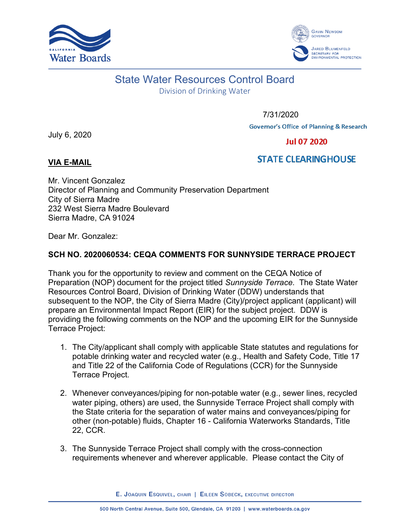



## State Water Resources Control Board

Division of Drinking Water

7/31/2020

**Governor's Office of Planning & Research** 

July 6, 2020

**Jul 07 2020** 

## **VIA E-MAIL**

## **STATE CLEARINGHOUSE**

Mr. Vincent Gonzalez Director of Planning and Community Preservation Department City of Sierra Madre 232 West Sierra Madre Boulevard Sierra Madre, CA 91024

Dear Mr. Gonzalez:

## **SCH NO. 2020060534: CEQA COMMENTS FOR SUNNYSIDE TERRACE PROJECT**

Thank you for the opportunity to review and comment on the CEQA Notice of Preparation (NOP) document for the project titled *Sunnyside Terrace*. The State Water Resources Control Board, Division of Drinking Water (DDW) understands that subsequent to the NOP, the City of Sierra Madre (City)/project applicant (applicant) will prepare an Environmental Impact Report (EIR) for the subject project. DDW is providing the following comments on the NOP and the upcoming EIR for the Sunnyside Terrace Project:

- 1. The City/applicant shall comply with applicable State statutes and regulations for potable drinking water and recycled water (e.g., Health and Safety Code, Title 17 and Title 22 of the California Code of Regulations (CCR) for the Sunnyside Terrace Project.
- 2. Whenever conveyances/piping for non-potable water (e.g., sewer lines, recycled water piping, others) are used, the Sunnyside Terrace Project shall comply with the State criteria for the separation of water mains and conveyances/piping for other (non-potable) fluids, Chapter 16 - California Waterworks Standards, Title 22, CCR.
- 3. The Sunnyside Terrace Project shall comply with the cross-connection requirements whenever and wherever applicable. Please contact the City of

E. JOAQUIN ESQUIVEL, CHAIR | EILEEN SOBECK, EXECUTIVE DIRECTOR